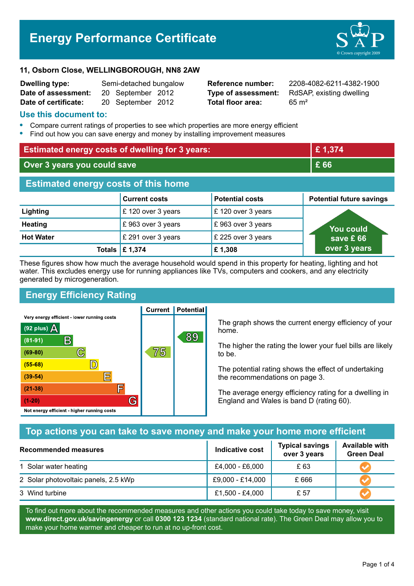# **Energy Performance Certificate**



#### **11, Osborn Close, WELLINGBOROUGH, NN8 2AW**

| Dwelling type:       | Semi-detached bungalow |                   |  |
|----------------------|------------------------|-------------------|--|
| Date of assessment:  |                        | 20 September 2012 |  |
| Date of certificate: |                        | 20 September 2012 |  |

**Total floor area:** 65 m<sup>2</sup>

**Reference number:** 2208-4082-6211-4382-1900 **Type of assessment:** RdSAP, existing dwelling

### **Use this document to:**

- **•** Compare current ratings of properties to see which properties are more energy efficient
- **•** Find out how you can save energy and money by installing improvement measures

| <b>Estimated energy costs of dwelling for 3 years:</b> |                      |                        | £1,374                          |  |
|--------------------------------------------------------|----------------------|------------------------|---------------------------------|--|
| Over 3 years you could save                            |                      | £ 66                   |                                 |  |
| <b>Estimated energy costs of this home</b>             |                      |                        |                                 |  |
|                                                        | <b>Current costs</b> | <b>Potential costs</b> | <b>Potential future savings</b> |  |
| Lighting                                               | £120 over 3 years    | £120 over 3 years      |                                 |  |
| <b>Heating</b>                                         | £963 over 3 years    | £963 over 3 years      | <b>You could</b>                |  |
| <b>Hot Water</b>                                       | £ 291 over 3 years   | £ 225 over 3 years     | save £66                        |  |
|                                                        | Totals   £ 1,374     | £1,308                 | over 3 years                    |  |

These figures show how much the average household would spend in this property for heating, lighting and hot water. This excludes energy use for running appliances like TVs, computers and cookers, and any electricity generated by microgeneration.

**Current | Potential** 

# **Energy Efficiency Rating**

Very energy efficient - lower running costs



The graph shows the current energy efficiency of your home.

The higher the rating the lower your fuel bills are likely to be.

The potential rating shows the effect of undertaking the recommendations on page 3.

The average energy efficiency rating for a dwelling in England and Wales is band D (rating 60).

## **Top actions you can take to save money and make your home more efficient**

| <b>Recommended measures</b>          | Indicative cost  | <b>Typical savings</b><br>over 3 years | <b>Available with</b><br><b>Green Deal</b> |
|--------------------------------------|------------------|----------------------------------------|--------------------------------------------|
| 1 Solar water heating                | £4,000 - £6,000  | £ 63                                   |                                            |
| 2 Solar photovoltaic panels, 2.5 kWp | £9,000 - £14,000 | £666                                   |                                            |
| 3 Wind turbine                       | £1,500 - £4,000  | £ 57                                   |                                            |

To find out more about the recommended measures and other actions you could take today to save money, visit **www.direct.gov.uk/savingenergy** or call **0300 123 1234** (standard national rate). The Green Deal may allow you to make your home warmer and cheaper to run at no up-front cost.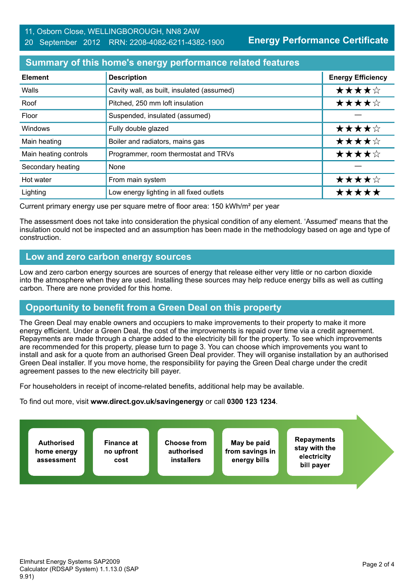**Energy Performance Certificate**

## **Summary of this home's energy performance related features**

| <b>Element</b>        | <b>Description</b>                         | <b>Energy Efficiency</b> |
|-----------------------|--------------------------------------------|--------------------------|
| Walls                 | Cavity wall, as built, insulated (assumed) | ★★★★☆                    |
| Roof                  | Pitched, 250 mm loft insulation            | ★★★★☆                    |
| Floor                 | Suspended, insulated (assumed)             |                          |
| Windows               | Fully double glazed                        | ★★★★☆                    |
| Main heating          | Boiler and radiators, mains gas            | ★★★★☆                    |
| Main heating controls | Programmer, room thermostat and TRVs       | ★★★★☆                    |
| Secondary heating     | None                                       |                          |
| Hot water             | From main system                           | ★★★★☆                    |
| Lighting              | Low energy lighting in all fixed outlets   | *****                    |

Current primary energy use per square metre of floor area: 150 kWh/m² per year

The assessment does not take into consideration the physical condition of any element. 'Assumed' means that the insulation could not be inspected and an assumption has been made in the methodology based on age and type of construction.

## **Low and zero carbon energy sources**

Low and zero carbon energy sources are sources of energy that release either very little or no carbon dioxide into the atmosphere when they are used. Installing these sources may help reduce energy bills as well as cutting carbon. There are none provided for this home.

# **Opportunity to benefit from a Green Deal on this property**

The Green Deal may enable owners and occupiers to make improvements to their property to make it more energy efficient. Under a Green Deal, the cost of the improvements is repaid over time via a credit agreement. Repayments are made through a charge added to the electricity bill for the property. To see which improvements are recommended for this property, please turn to page 3. You can choose which improvements you want to install and ask for a quote from an authorised Green Deal provider. They will organise installation by an authorised Green Deal installer. If you move home, the responsibility for paying the Green Deal charge under the credit agreement passes to the new electricity bill payer.

For householders in receipt of income-related benefits, additional help may be available.

To find out more, visit **www.direct.gov.uk/savingenergy** or call **0300 123 1234**.

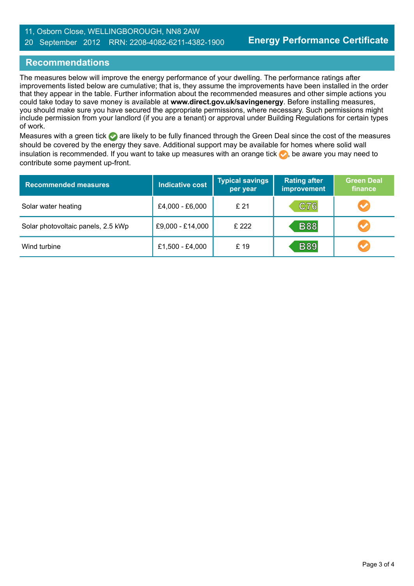### 11, Osborn Close, WELLINGBOROUGH, NN8 2AW 20 September 2012 RRN: 2208-4082-6211-4382-1900

# **Recommendations**

The measures below will improve the energy performance of your dwelling. The performance ratings after improvements listed below are cumulative; that is, they assume the improvements have been installed in the order that they appear in the table. Further information about the recommended measures and other simple actions you could take today to save money is available at **www.direct.gov.uk/savingenergy**. Before installing measures, you should make sure you have secured the appropriate permissions, where necessary. Such permissions might include permission from your landlord (if you are a tenant) or approval under Building Regulations for certain types of work.

Measures with a green tick are likely to be fully financed through the Green Deal since the cost of the measures should be covered by the energy they save. Additional support may be available for homes where solid wall insulation is recommended. If you want to take up measures with an orange tick  $\blacklozenge$ , be aware you may need to contribute some payment up-front.

| <b>Recommended measures</b>        | <b>Indicative cost</b> | <b>Typical savings</b><br>per year | <b>Rating after</b><br><b>improvement</b> | <b>Green Deal</b><br>finance |
|------------------------------------|------------------------|------------------------------------|-------------------------------------------|------------------------------|
| Solar water heating                | £4,000 - £6,000        | £21                                | C76                                       | $\blacktriangledown$         |
| Solar photovoltaic panels, 2.5 kWp | £9,000 - £14,000       | £ 222                              | <b>B88</b>                                | $\blacktriangleright$        |
| Wind turbine                       | £1,500 - £4,000        | £ 19                               | <b>B89</b>                                | $\blacktriangleright$        |